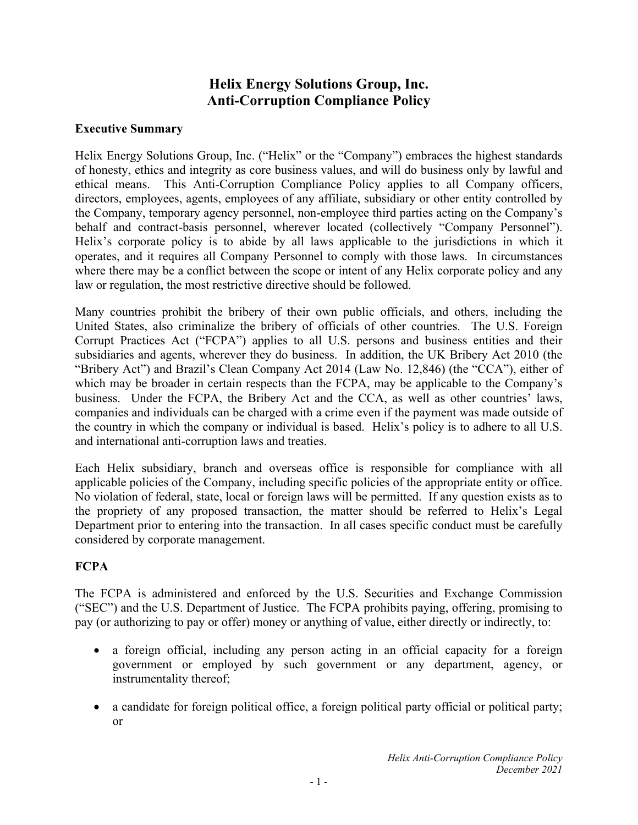# **Helix Energy Solutions Group, Inc. Anti-Corruption Compliance Policy**

### **Executive Summary**

Helix Energy Solutions Group, Inc. ("Helix" or the "Company") embraces the highest standards of honesty, ethics and integrity as core business values, and will do business only by lawful and ethical means. This Anti-Corruption Compliance Policy applies to all Company officers, directors, employees, agents, employees of any affiliate, subsidiary or other entity controlled by the Company, temporary agency personnel, non-employee third parties acting on the Company's behalf and contract-basis personnel, wherever located (collectively "Company Personnel"). Helix's corporate policy is to abide by all laws applicable to the jurisdictions in which it operates, and it requires all Company Personnel to comply with those laws. In circumstances where there may be a conflict between the scope or intent of any Helix corporate policy and any law or regulation, the most restrictive directive should be followed.

Many countries prohibit the bribery of their own public officials, and others, including the United States, also criminalize the bribery of officials of other countries. The U.S. Foreign Corrupt Practices Act ("FCPA") applies to all U.S. persons and business entities and their subsidiaries and agents, wherever they do business. In addition, the UK Bribery Act 2010 (the "Bribery Act") and Brazil's Clean Company Act 2014 (Law No. 12,846) (the "CCA"), either of which may be broader in certain respects than the FCPA, may be applicable to the Company's business. Under the FCPA, the Bribery Act and the CCA, as well as other countries' laws, companies and individuals can be charged with a crime even if the payment was made outside of the country in which the company or individual is based. Helix's policy is to adhere to all U.S. and international anti-corruption laws and treaties.

Each Helix subsidiary, branch and overseas office is responsible for compliance with all applicable policies of the Company, including specific policies of the appropriate entity or office. No violation of federal, state, local or foreign laws will be permitted. If any question exists as to the propriety of any proposed transaction, the matter should be referred to Helix's Legal Department prior to entering into the transaction. In all cases specific conduct must be carefully considered by corporate management.

### **FCPA**

The FCPA is administered and enforced by the U.S. Securities and Exchange Commission ("SEC") and the U.S. Department of Justice. The FCPA prohibits paying, offering, promising to pay (or authorizing to pay or offer) money or anything of value, either directly or indirectly, to:

- a foreign official, including any person acting in an official capacity for a foreign government or employed by such government or any department, agency, or instrumentality thereof;
- a candidate for foreign political office, a foreign political party official or political party; or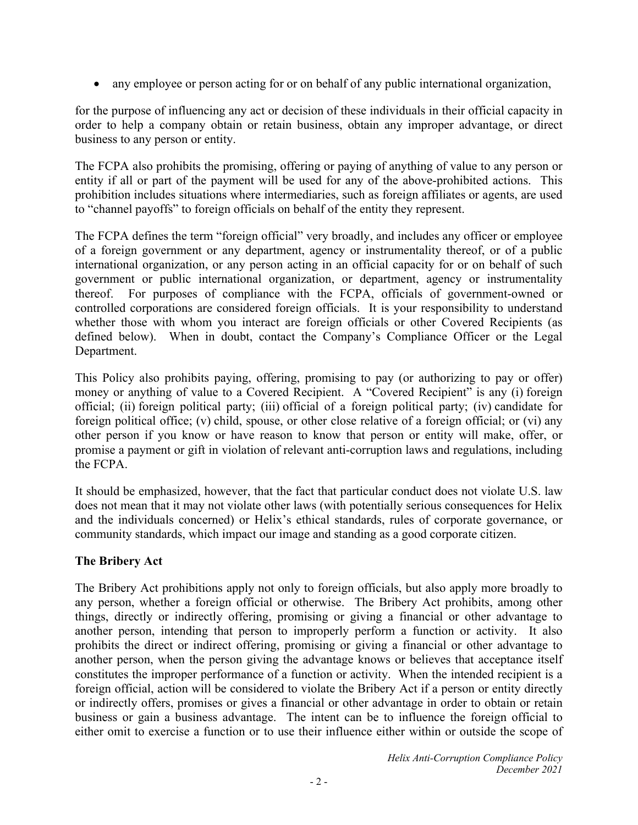any employee or person acting for or on behalf of any public international organization,

for the purpose of influencing any act or decision of these individuals in their official capacity in order to help a company obtain or retain business, obtain any improper advantage, or direct business to any person or entity.

The FCPA also prohibits the promising, offering or paying of anything of value to any person or entity if all or part of the payment will be used for any of the above-prohibited actions. This prohibition includes situations where intermediaries, such as foreign affiliates or agents, are used to "channel payoffs" to foreign officials on behalf of the entity they represent.

The FCPA defines the term "foreign official" very broadly, and includes any officer or employee of a foreign government or any department, agency or instrumentality thereof, or of a public international organization, or any person acting in an official capacity for or on behalf of such government or public international organization, or department, agency or instrumentality thereof. For purposes of compliance with the FCPA, officials of government-owned or controlled corporations are considered foreign officials. It is your responsibility to understand whether those with whom you interact are foreign officials or other Covered Recipients (as defined below). When in doubt, contact the Company's Compliance Officer or the Legal Department.

This Policy also prohibits paying, offering, promising to pay (or authorizing to pay or offer) money or anything of value to a Covered Recipient. A "Covered Recipient" is any (i) foreign official; (ii) foreign political party; (iii) official of a foreign political party; (iv) candidate for foreign political office; (v) child, spouse, or other close relative of a foreign official; or (vi) any other person if you know or have reason to know that person or entity will make, offer, or promise a payment or gift in violation of relevant anti-corruption laws and regulations, including the FCPA.

It should be emphasized, however, that the fact that particular conduct does not violate U.S. law does not mean that it may not violate other laws (with potentially serious consequences for Helix and the individuals concerned) or Helix's ethical standards, rules of corporate governance, or community standards, which impact our image and standing as a good corporate citizen.

### **The Bribery Act**

The Bribery Act prohibitions apply not only to foreign officials, but also apply more broadly to any person, whether a foreign official or otherwise. The Bribery Act prohibits, among other things, directly or indirectly offering, promising or giving a financial or other advantage to another person, intending that person to improperly perform a function or activity. It also prohibits the direct or indirect offering, promising or giving a financial or other advantage to another person, when the person giving the advantage knows or believes that acceptance itself constitutes the improper performance of a function or activity. When the intended recipient is a foreign official, action will be considered to violate the Bribery Act if a person or entity directly or indirectly offers, promises or gives a financial or other advantage in order to obtain or retain business or gain a business advantage. The intent can be to influence the foreign official to either omit to exercise a function or to use their influence either within or outside the scope of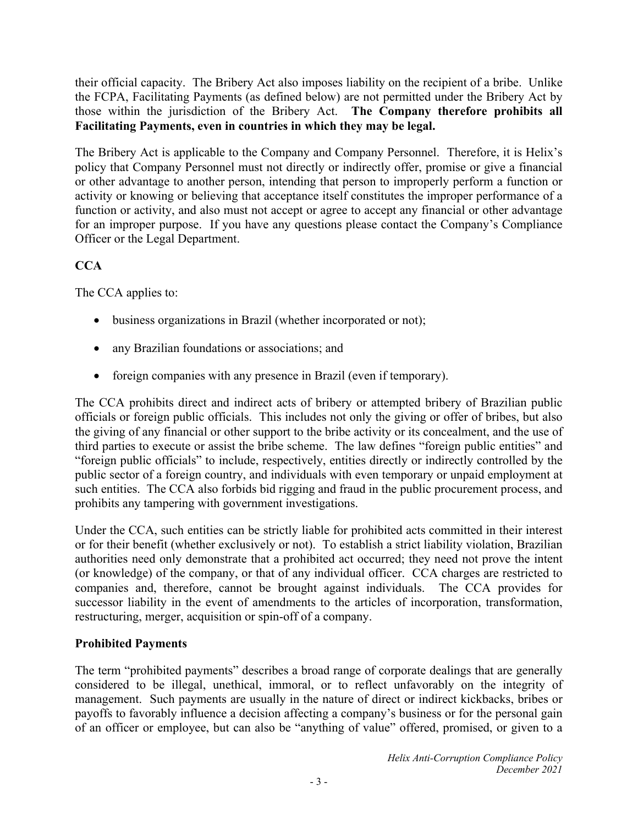their official capacity. The Bribery Act also imposes liability on the recipient of a bribe. Unlike the FCPA, Facilitating Payments (as defined below) are not permitted under the Bribery Act by those within the jurisdiction of the Bribery Act. **The Company therefore prohibits all Facilitating Payments, even in countries in which they may be legal.**

The Bribery Act is applicable to the Company and Company Personnel. Therefore, it is Helix's policy that Company Personnel must not directly or indirectly offer, promise or give a financial or other advantage to another person, intending that person to improperly perform a function or activity or knowing or believing that acceptance itself constitutes the improper performance of a function or activity, and also must not accept or agree to accept any financial or other advantage for an improper purpose. If you have any questions please contact the Company's Compliance Officer or the Legal Department.

## **CCA**

The CCA applies to:

- business organizations in Brazil (whether incorporated or not);
- any Brazilian foundations or associations; and
- foreign companies with any presence in Brazil (even if temporary).

The CCA prohibits direct and indirect acts of bribery or attempted bribery of Brazilian public officials or foreign public officials. This includes not only the giving or offer of bribes, but also the giving of any financial or other support to the bribe activity or its concealment, and the use of third parties to execute or assist the bribe scheme. The law defines "foreign public entities" and "foreign public officials" to include, respectively, entities directly or indirectly controlled by the public sector of a foreign country, and individuals with even temporary or unpaid employment at such entities. The CCA also forbids bid rigging and fraud in the public procurement process, and prohibits any tampering with government investigations.

Under the CCA, such entities can be strictly liable for prohibited acts committed in their interest or for their benefit (whether exclusively or not). To establish a strict liability violation, Brazilian authorities need only demonstrate that a prohibited act occurred; they need not prove the intent (or knowledge) of the company, or that of any individual officer. CCA charges are restricted to companies and, therefore, cannot be brought against individuals. The CCA provides for successor liability in the event of amendments to the articles of incorporation, transformation, restructuring, merger, acquisition or spin-off of a company.

### **Prohibited Payments**

The term "prohibited payments" describes a broad range of corporate dealings that are generally considered to be illegal, unethical, immoral, or to reflect unfavorably on the integrity of management. Such payments are usually in the nature of direct or indirect kickbacks, bribes or payoffs to favorably influence a decision affecting a company's business or for the personal gain of an officer or employee, but can also be "anything of value" offered, promised, or given to a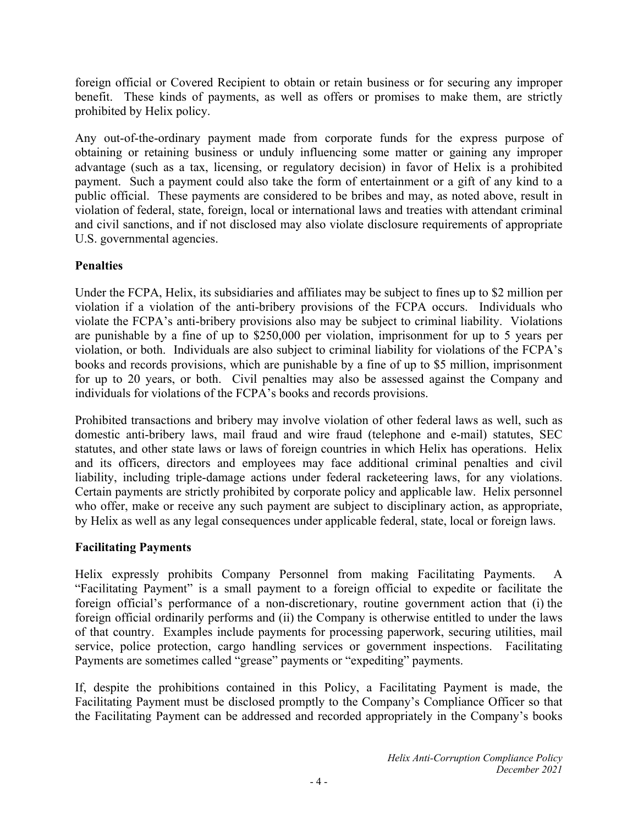foreign official or Covered Recipient to obtain or retain business or for securing any improper benefit. These kinds of payments, as well as offers or promises to make them, are strictly prohibited by Helix policy.

Any out-of-the-ordinary payment made from corporate funds for the express purpose of obtaining or retaining business or unduly influencing some matter or gaining any improper advantage (such as a tax, licensing, or regulatory decision) in favor of Helix is a prohibited payment. Such a payment could also take the form of entertainment or a gift of any kind to a public official. These payments are considered to be bribes and may, as noted above, result in violation of federal, state, foreign, local or international laws and treaties with attendant criminal and civil sanctions, and if not disclosed may also violate disclosure requirements of appropriate U.S. governmental agencies.

### **Penalties**

Under the FCPA, Helix, its subsidiaries and affiliates may be subject to fines up to \$2 million per violation if a violation of the anti-bribery provisions of the FCPA occurs. Individuals who violate the FCPA's anti-bribery provisions also may be subject to criminal liability. Violations are punishable by a fine of up to \$250,000 per violation, imprisonment for up to 5 years per violation, or both. Individuals are also subject to criminal liability for violations of the FCPA's books and records provisions, which are punishable by a fine of up to \$5 million, imprisonment for up to 20 years, or both. Civil penalties may also be assessed against the Company and individuals for violations of the FCPA's books and records provisions.

Prohibited transactions and bribery may involve violation of other federal laws as well, such as domestic anti-bribery laws, mail fraud and wire fraud (telephone and e-mail) statutes, SEC statutes, and other state laws or laws of foreign countries in which Helix has operations. Helix and its officers, directors and employees may face additional criminal penalties and civil liability, including triple-damage actions under federal racketeering laws, for any violations. Certain payments are strictly prohibited by corporate policy and applicable law. Helix personnel who offer, make or receive any such payment are subject to disciplinary action, as appropriate, by Helix as well as any legal consequences under applicable federal, state, local or foreign laws.

### **Facilitating Payments**

Helix expressly prohibits Company Personnel from making Facilitating Payments. A "Facilitating Payment" is a small payment to a foreign official to expedite or facilitate the foreign official's performance of a non-discretionary, routine government action that (i) the foreign official ordinarily performs and (ii) the Company is otherwise entitled to under the laws of that country. Examples include payments for processing paperwork, securing utilities, mail service, police protection, cargo handling services or government inspections. Facilitating Payments are sometimes called "grease" payments or "expediting" payments.

If, despite the prohibitions contained in this Policy, a Facilitating Payment is made, the Facilitating Payment must be disclosed promptly to the Company's Compliance Officer so that the Facilitating Payment can be addressed and recorded appropriately in the Company's books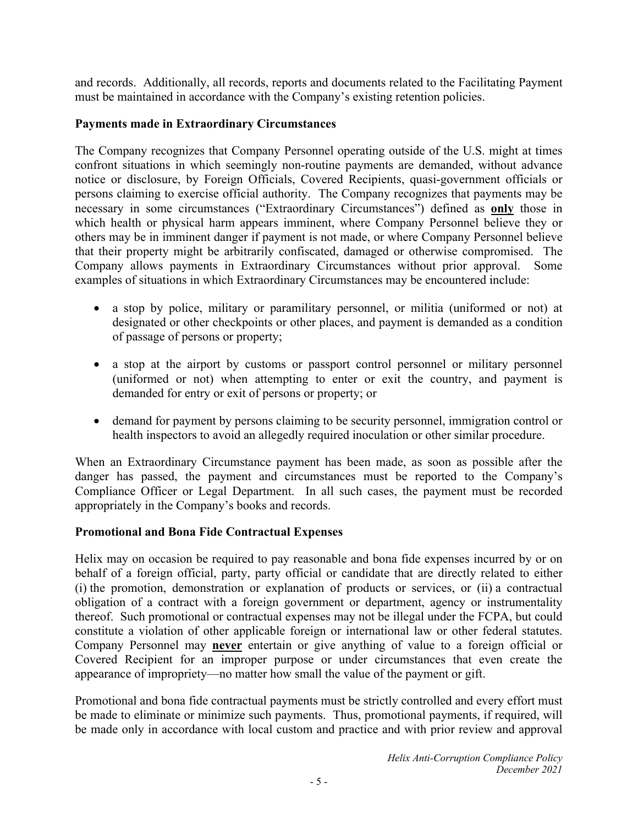and records. Additionally, all records, reports and documents related to the Facilitating Payment must be maintained in accordance with the Company's existing retention policies.

#### **Payments made in Extraordinary Circumstances**

The Company recognizes that Company Personnel operating outside of the U.S. might at times confront situations in which seemingly non-routine payments are demanded, without advance notice or disclosure, by Foreign Officials, Covered Recipients, quasi-government officials or persons claiming to exercise official authority. The Company recognizes that payments may be necessary in some circumstances ("Extraordinary Circumstances") defined as **only** those in which health or physical harm appears imminent, where Company Personnel believe they or others may be in imminent danger if payment is not made, or where Company Personnel believe that their property might be arbitrarily confiscated, damaged or otherwise compromised. The Company allows payments in Extraordinary Circumstances without prior approval. Some examples of situations in which Extraordinary Circumstances may be encountered include:

- a stop by police, military or paramilitary personnel, or militia (uniformed or not) at designated or other checkpoints or other places, and payment is demanded as a condition of passage of persons or property;
- a stop at the airport by customs or passport control personnel or military personnel (uniformed or not) when attempting to enter or exit the country, and payment is demanded for entry or exit of persons or property; or
- demand for payment by persons claiming to be security personnel, immigration control or health inspectors to avoid an allegedly required inoculation or other similar procedure.

When an Extraordinary Circumstance payment has been made, as soon as possible after the danger has passed, the payment and circumstances must be reported to the Company's Compliance Officer or Legal Department. In all such cases, the payment must be recorded appropriately in the Company's books and records.

#### **Promotional and Bona Fide Contractual Expenses**

Helix may on occasion be required to pay reasonable and bona fide expenses incurred by or on behalf of a foreign official, party, party official or candidate that are directly related to either (i) the promotion, demonstration or explanation of products or services, or (ii) a contractual obligation of a contract with a foreign government or department, agency or instrumentality thereof. Such promotional or contractual expenses may not be illegal under the FCPA, but could constitute a violation of other applicable foreign or international law or other federal statutes. Company Personnel may **never** entertain or give anything of value to a foreign official or Covered Recipient for an improper purpose or under circumstances that even create the appearance of impropriety—no matter how small the value of the payment or gift.

Promotional and bona fide contractual payments must be strictly controlled and every effort must be made to eliminate or minimize such payments. Thus, promotional payments, if required, will be made only in accordance with local custom and practice and with prior review and approval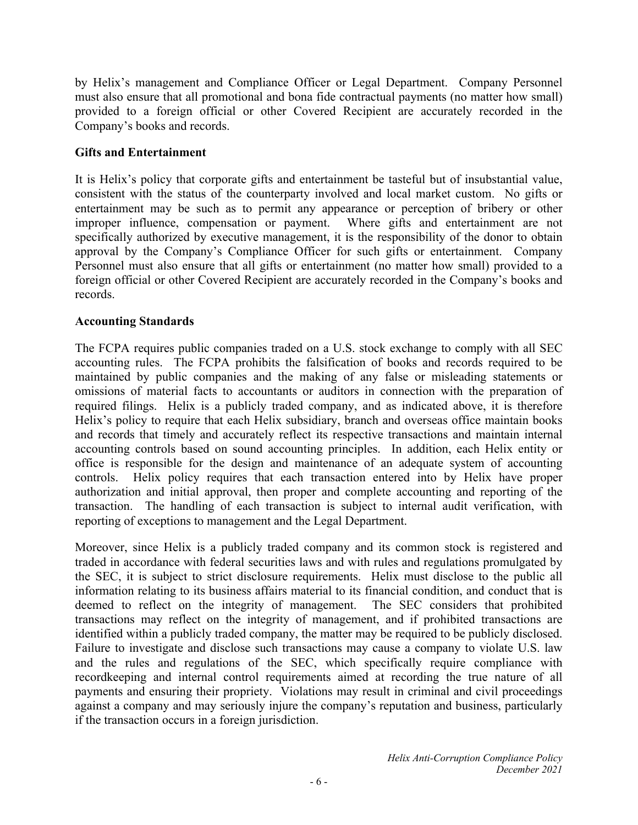by Helix's management and Compliance Officer or Legal Department. Company Personnel must also ensure that all promotional and bona fide contractual payments (no matter how small) provided to a foreign official or other Covered Recipient are accurately recorded in the Company's books and records.

### **Gifts and Entertainment**

It is Helix's policy that corporate gifts and entertainment be tasteful but of insubstantial value, consistent with the status of the counterparty involved and local market custom. No gifts or entertainment may be such as to permit any appearance or perception of bribery or other improper influence, compensation or payment. Where gifts and entertainment are not specifically authorized by executive management, it is the responsibility of the donor to obtain approval by the Company's Compliance Officer for such gifts or entertainment. Company Personnel must also ensure that all gifts or entertainment (no matter how small) provided to a foreign official or other Covered Recipient are accurately recorded in the Company's books and records.

#### **Accounting Standards**

The FCPA requires public companies traded on a U.S. stock exchange to comply with all SEC accounting rules. The FCPA prohibits the falsification of books and records required to be maintained by public companies and the making of any false or misleading statements or omissions of material facts to accountants or auditors in connection with the preparation of required filings. Helix is a publicly traded company, and as indicated above, it is therefore Helix's policy to require that each Helix subsidiary, branch and overseas office maintain books and records that timely and accurately reflect its respective transactions and maintain internal accounting controls based on sound accounting principles. In addition, each Helix entity or office is responsible for the design and maintenance of an adequate system of accounting controls. Helix policy requires that each transaction entered into by Helix have proper authorization and initial approval, then proper and complete accounting and reporting of the transaction. The handling of each transaction is subject to internal audit verification, with reporting of exceptions to management and the Legal Department.

Moreover, since Helix is a publicly traded company and its common stock is registered and traded in accordance with federal securities laws and with rules and regulations promulgated by the SEC, it is subject to strict disclosure requirements. Helix must disclose to the public all information relating to its business affairs material to its financial condition, and conduct that is deemed to reflect on the integrity of management. The SEC considers that prohibited transactions may reflect on the integrity of management, and if prohibited transactions are identified within a publicly traded company, the matter may be required to be publicly disclosed. Failure to investigate and disclose such transactions may cause a company to violate U.S. law and the rules and regulations of the SEC, which specifically require compliance with recordkeeping and internal control requirements aimed at recording the true nature of all payments and ensuring their propriety. Violations may result in criminal and civil proceedings against a company and may seriously injure the company's reputation and business, particularly if the transaction occurs in a foreign jurisdiction.